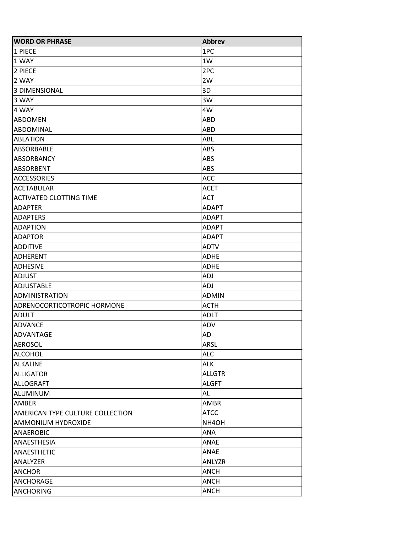| <b>WORD OR PHRASE</b>            | <b>Abbrev</b> |
|----------------------------------|---------------|
| 1 PIECE                          | 1PC           |
| 1 WAY                            | 1W            |
| 2 PIECE                          | 2PC           |
| 2 WAY                            | 2W            |
| <b>3 DIMENSIONAL</b>             | 3D            |
| 3 WAY                            | 3W            |
| 4 WAY                            | 4W            |
| <b>ABDOMEN</b>                   | <b>ABD</b>    |
| ABDOMINAL                        | ABD           |
| <b>ABLATION</b>                  | ABL           |
| ABSORBABLE                       | ABS           |
| ABSORBANCY                       | <b>ABS</b>    |
| ABSORBENT                        | <b>ABS</b>    |
| <b>ACCESSORIES</b>               | ACC           |
| <b>ACETABULAR</b>                | <b>ACET</b>   |
| <b>ACTIVATED CLOTTING TIME</b>   | <b>ACT</b>    |
| <b>ADAPTER</b>                   | <b>ADAPT</b>  |
| <b>ADAPTERS</b>                  | <b>ADAPT</b>  |
| <b>ADAPTION</b>                  | ADAPT         |
| <b>ADAPTOR</b>                   | <b>ADAPT</b>  |
| <b>ADDITIVE</b>                  | <b>ADTV</b>   |
| <b>ADHERENT</b>                  | <b>ADHE</b>   |
| <b>ADHESIVE</b>                  | <b>ADHE</b>   |
| <b>ADJUST</b>                    | <b>ADJ</b>    |
| ADJUSTABLE                       | <b>ADJ</b>    |
| <b>ADMINISTRATION</b>            | <b>ADMIN</b>  |
| ADRENOCORTICOTROPIC HORMONE      | <b>ACTH</b>   |
| <b>ADULT</b>                     | ADLT          |
| <b>ADVANCE</b>                   | ADV           |
| ADVANTAGE                        | AD            |
| <b>AEROSOL</b>                   | <b>ARSL</b>   |
| <b>ALCOHOL</b>                   | <b>ALC</b>    |
| <b>ALKALINE</b>                  | <b>ALK</b>    |
| <b>ALLIGATOR</b>                 | <b>ALLGTR</b> |
| <b>ALLOGRAFT</b>                 | <b>ALGFT</b>  |
| ALUMINUM                         | AL            |
| AMBER                            | AMBR          |
| AMERICAN TYPE CULTURE COLLECTION | <b>ATCC</b>   |
| AMMONIUM HYDROXIDE               | NH4OH         |
| ANAEROBIC                        | ANA           |
| ANAESTHESIA                      | ANAE          |
| ANAESTHETIC                      | ANAE          |
| ANALYZER                         | ANLYZR        |
| <b>ANCHOR</b>                    | <b>ANCH</b>   |
| ANCHORAGE                        | <b>ANCH</b>   |
| <b>ANCHORING</b>                 | <b>ANCH</b>   |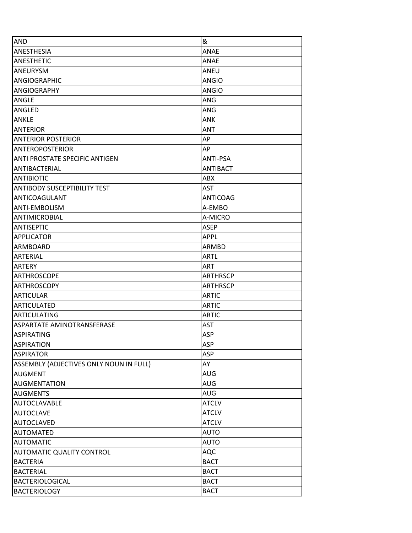| <b>AND</b>                              | &               |
|-----------------------------------------|-----------------|
| ANESTHESIA                              | <b>ANAE</b>     |
| <b>ANESTHETIC</b>                       | ANAE            |
| ANEURYSM                                | ANEU            |
| <b>ANGIOGRAPHIC</b>                     | <b>ANGIO</b>    |
| <b>ANGIOGRAPHY</b>                      | <b>ANGIO</b>    |
| ANGLE                                   | ANG             |
| ANGLED                                  | ANG             |
| <b>ANKLE</b>                            | ANK             |
| <b>ANTERIOR</b>                         | <b>ANT</b>      |
| <b>ANTERIOR POSTERIOR</b>               | AP              |
| <b>ANTEROPOSTERIOR</b>                  | AP              |
| ANTI PROSTATE SPECIFIC ANTIGEN          | ANTI-PSA        |
| ANTIBACTERIAL                           | <b>ANTIBACT</b> |
| <b>ANTIBIOTIC</b>                       | ABX             |
| <b>ANTIBODY SUSCEPTIBILITY TEST</b>     | <b>AST</b>      |
| ANTICOAGULANT                           | <b>ANTICOAG</b> |
| ANTI-EMBOLISM                           | A-EMBO          |
| <b>ANTIMICROBIAL</b>                    | A-MICRO         |
| <b>ANTISEPTIC</b>                       | <b>ASEP</b>     |
| <b>APPLICATOR</b>                       | <b>APPL</b>     |
| ARMBOARD                                | ARMBD           |
| ARTERIAL                                | ARTL            |
| ARTERY                                  | <b>ART</b>      |
| <b>ARTHROSCOPE</b>                      | <b>ARTHRSCP</b> |
| <b>ARTHROSCOPY</b>                      | <b>ARTHRSCP</b> |
| <b>ARTICULAR</b>                        | <b>ARTIC</b>    |
| <b>ARTICULATED</b>                      | <b>ARTIC</b>    |
| <b>ARTICULATING</b>                     | <b>ARTIC</b>    |
| ASPARTATE AMINOTRANSFERASE              | <b>AST</b>      |
| <b>ASPIRATING</b>                       | <b>ASP</b>      |
| <b>ASPIRATION</b>                       | ASP             |
| <b>ASPIRATOR</b>                        | ASP             |
| ASSEMBLY (ADJECTIVES ONLY NOUN IN FULL) | AY              |
| <b>AUGMENT</b>                          | <b>AUG</b>      |
| <b>AUGMENTATION</b>                     | <b>AUG</b>      |
| <b>AUGMENTS</b>                         | <b>AUG</b>      |
| <b>AUTOCLAVABLE</b>                     | <b>ATCLV</b>    |
| <b>AUTOCLAVE</b>                        | <b>ATCLV</b>    |
| <b>AUTOCLAVED</b>                       | <b>ATCLV</b>    |
| <b>AUTOMATED</b>                        | <b>AUTO</b>     |
| <b>AUTOMATIC</b>                        | <b>AUTO</b>     |
| <b>AUTOMATIC QUALITY CONTROL</b>        | AQC             |
| <b>BACTERIA</b>                         | <b>BACT</b>     |
| <b>BACTERIAL</b>                        | <b>BACT</b>     |
| <b>BACTERIOLOGICAL</b>                  | <b>BACT</b>     |
| <b>BACTERIOLOGY</b>                     | <b>BACT</b>     |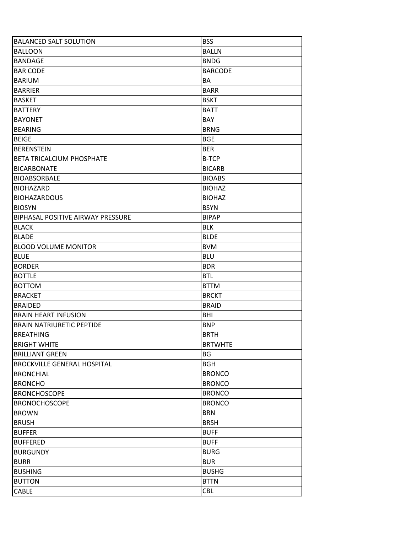| <b>BALANCED SALT SOLUTION</b>            | <b>BSS</b>     |
|------------------------------------------|----------------|
| <b>BALLOON</b>                           | <b>BALLN</b>   |
| <b>BANDAGE</b>                           | <b>BNDG</b>    |
| <b>BAR CODE</b>                          | <b>BARCODE</b> |
| <b>BARIUM</b>                            | BA             |
| BARRIER                                  | <b>BARR</b>    |
| <b>BASKET</b>                            | <b>BSKT</b>    |
| <b>BATTERY</b>                           | <b>BATT</b>    |
| <b>BAYONET</b>                           | BAY            |
| <b>BEARING</b>                           | <b>BRNG</b>    |
| <b>BEIGE</b>                             | <b>BGE</b>     |
| BERENSTEIN                               | <b>BER</b>     |
| <b>BETA TRICALCIUM PHOSPHATE</b>         | <b>B-TCP</b>   |
| <b>BICARBONATE</b>                       | <b>BICARB</b>  |
| <b>BIOABSORBALE</b>                      | <b>BIOABS</b>  |
| BIOHAZARD                                | <b>BIOHAZ</b>  |
| <b>BIOHAZARDOUS</b>                      | <b>BIOHAZ</b>  |
| <b>BIOSYN</b>                            | <b>BSYN</b>    |
| <b>BIPHASAL POSITIVE AIRWAY PRESSURE</b> | <b>BIPAP</b>   |
| <b>BLACK</b>                             | <b>BLK</b>     |
| <b>BLADE</b>                             | <b>BLDE</b>    |
| <b>BLOOD VOLUME MONITOR</b>              | <b>BVM</b>     |
| <b>BLUE</b>                              | <b>BLU</b>     |
| <b>BORDER</b>                            | <b>BDR</b>     |
| <b>BOTTLE</b>                            | <b>BTL</b>     |
| <b>BOTTOM</b>                            | <b>BTTM</b>    |
| <b>BRACKET</b>                           | <b>BRCKT</b>   |
| <b>BRAIDED</b>                           | <b>BRAID</b>   |
| <b>BRAIN HEART INFUSION</b>              | BHI            |
| <b>BRAIN NATRIURETIC PEPTIDE</b>         | <b>BNP</b>     |
| <b>BREATHING</b>                         | <b>BRTH</b>    |
| <b>BRIGHT WHITE</b>                      | <b>BRTWHTE</b> |
| <b>BRILLIANT GREEN</b>                   | BG             |
| <b>BROCKVILLE GENERAL HOSPITAL</b>       | <b>BGH</b>     |
| <b>BRONCHIAL</b>                         | <b>BRONCO</b>  |
| <b>BRONCHO</b>                           | <b>BRONCO</b>  |
| <b>BRONCHOSCOPE</b>                      | <b>BRONCO</b>  |
| <b>BRONOCHOSCOPE</b>                     | <b>BRONCO</b>  |
| <b>BROWN</b>                             | <b>BRN</b>     |
| <b>BRUSH</b>                             | <b>BRSH</b>    |
| <b>BUFFER</b>                            | <b>BUFF</b>    |
| <b>BUFFERED</b>                          | <b>BUFF</b>    |
| <b>BURGUNDY</b>                          | <b>BURG</b>    |
| <b>BURR</b>                              | <b>BUR</b>     |
| <b>BUSHING</b>                           | <b>BUSHG</b>   |
| <b>BUTTON</b>                            | <b>BTTN</b>    |
| <b>CABLE</b>                             | CBL            |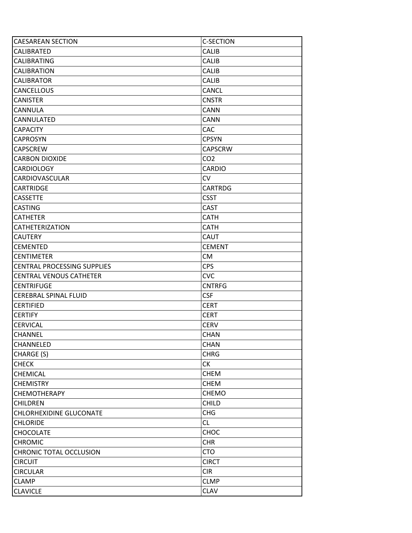| <b>CAESAREAN SECTION</b>           | <b>C-SECTION</b> |
|------------------------------------|------------------|
| CALIBRATED                         | <b>CALIB</b>     |
| <b>CALIBRATING</b>                 | <b>CALIB</b>     |
| CALIBRATION                        | <b>CALIB</b>     |
| <b>CALIBRATOR</b>                  | <b>CALIB</b>     |
| <b>CANCELLOUS</b>                  | <b>CANCL</b>     |
| <b>CANISTER</b>                    | <b>CNSTR</b>     |
| CANNULA                            | <b>CANN</b>      |
| CANNULATED                         | <b>CANN</b>      |
| <b>CAPACITY</b>                    | <b>CAC</b>       |
| <b>CAPROSYN</b>                    | <b>CPSYN</b>     |
| <b>CAPSCREW</b>                    | <b>CAPSCRW</b>   |
| <b>CARBON DIOXIDE</b>              | CO <sub>2</sub>  |
| <b>CARDIOLOGY</b>                  | <b>CARDIO</b>    |
| CARDIOVASCULAR                     | <b>CV</b>        |
| <b>CARTRIDGE</b>                   | <b>CARTRDG</b>   |
| <b>CASSETTE</b>                    | <b>CSST</b>      |
| <b>CASTING</b>                     | <b>CAST</b>      |
| <b>CATHETER</b>                    | <b>CATH</b>      |
| <b>CATHETERIZATION</b>             | <b>CATH</b>      |
| <b>CAUTERY</b>                     | <b>CAUT</b>      |
| <b>CEMENTED</b>                    | <b>CEMENT</b>    |
| <b>CENTIMETER</b>                  | <b>CM</b>        |
| <b>CENTRAL PROCESSING SUPPLIES</b> | <b>CPS</b>       |
| <b>CENTRAL VENOUS CATHETER</b>     | <b>CVC</b>       |
| <b>CENTRIFUGE</b>                  | <b>CNTRFG</b>    |
| <b>CEREBRAL SPINAL FLUID</b>       | <b>CSF</b>       |
| <b>CERTIFIED</b>                   | <b>CERT</b>      |
| <b>CERTIFY</b>                     | <b>CERT</b>      |
| <b>CERVICAL</b>                    | <b>CERV</b>      |
| <b>CHANNEL</b>                     | <b>CHAN</b>      |
| CHANNELED                          | <b>CHAN</b>      |
| CHARGE (S)                         | <b>CHRG</b>      |
| <b>CHECK</b>                       | СK               |
| <b>CHEMICAL</b>                    | <b>CHEM</b>      |
| <b>CHEMISTRY</b>                   | <b>CHEM</b>      |
| <b>CHEMOTHERAPY</b>                | <b>CHEMO</b>     |
| <b>CHILDREN</b>                    | <b>CHILD</b>     |
| <b>CHLORHEXIDINE GLUCONATE</b>     | <b>CHG</b>       |
| <b>CHLORIDE</b>                    | CL               |
| <b>CHOCOLATE</b>                   | CHOC             |
| <b>CHROMIC</b>                     | <b>CHR</b>       |
| <b>CHRONIC TOTAL OCCLUSION</b>     | <b>CTO</b>       |
| <b>CIRCUIT</b>                     | <b>CIRCT</b>     |
| <b>CIRCULAR</b>                    | <b>CIR</b>       |
| <b>CLAMP</b>                       | <b>CLMP</b>      |
| <b>CLAVICLE</b>                    | <b>CLAV</b>      |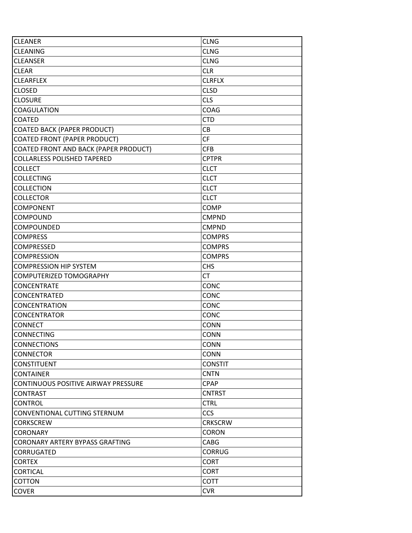| <b>CLEANER</b>                             | <b>CLNG</b>    |
|--------------------------------------------|----------------|
| <b>CLEANING</b>                            | <b>CLNG</b>    |
| <b>CLEANSER</b>                            | <b>CLNG</b>    |
| <b>CLEAR</b>                               | <b>CLR</b>     |
| <b>CLEARFLEX</b>                           | <b>CLRFLX</b>  |
| <b>CLOSED</b>                              | <b>CLSD</b>    |
| <b>CLOSURE</b>                             | <b>CLS</b>     |
| <b>COAGULATION</b>                         | <b>COAG</b>    |
| <b>COATED</b>                              | <b>CTD</b>     |
| <b>COATED BACK (PAPER PRODUCT)</b>         | <b>CB</b>      |
| <b>COATED FRONT (PAPER PRODUCT)</b>        | <b>CF</b>      |
| COATED FRONT AND BACK (PAPER PRODUCT)      | <b>CFB</b>     |
| <b>COLLARLESS POLISHED TAPERED</b>         | <b>CPTPR</b>   |
| <b>COLLECT</b>                             | <b>CLCT</b>    |
| <b>COLLECTING</b>                          | <b>CLCT</b>    |
| <b>COLLECTION</b>                          | <b>CLCT</b>    |
| <b>COLLECTOR</b>                           | <b>CLCT</b>    |
| <b>COMPONENT</b>                           | <b>COMP</b>    |
| COMPOUND                                   | <b>CMPND</b>   |
| COMPOUNDED                                 | <b>CMPND</b>   |
| <b>COMPRESS</b>                            | <b>COMPRS</b>  |
| COMPRESSED                                 | <b>COMPRS</b>  |
| <b>COMPRESSION</b>                         | <b>COMPRS</b>  |
| <b>COMPRESSION HIP SYSTEM</b>              | <b>CHS</b>     |
| COMPUTERIZED TOMOGRAPHY                    | CT             |
| CONCENTRATE                                | <b>CONC</b>    |
| CONCENTRATED                               | CONC           |
| <b>CONCENTRATION</b>                       | CONC           |
| <b>CONCENTRATOR</b>                        | CONC           |
| <b>CONNECT</b>                             | <b>CONN</b>    |
| <b>CONNECTING</b>                          | <b>CONN</b>    |
| <b>CONNECTIONS</b>                         | <b>CONN</b>    |
| <b>CONNECTOR</b>                           | <b>CONN</b>    |
| <b>CONSTITUENT</b>                         | <b>CONSTIT</b> |
| <b>CONTAINER</b>                           | <b>CNTN</b>    |
| <b>CONTINUOUS POSITIVE AIRWAY PRESSURE</b> | <b>CPAP</b>    |
| CONTRAST                                   | <b>CNTRST</b>  |
| CONTROL                                    | <b>CTRL</b>    |
| CONVENTIONAL CUTTING STERNUM               | <b>CCS</b>     |
| <b>CORKSCREW</b>                           | <b>CRKSCRW</b> |
| <b>CORONARY</b>                            | <b>CORON</b>   |
| CORONARY ARTERY BYPASS GRAFTING            | CABG           |
| CORRUGATED                                 | <b>CORRUG</b>  |
| <b>CORTEX</b>                              | <b>CORT</b>    |
| <b>CORTICAL</b>                            | <b>CORT</b>    |
| <b>COTTON</b>                              | <b>COTT</b>    |
| <b>COVER</b>                               | <b>CVR</b>     |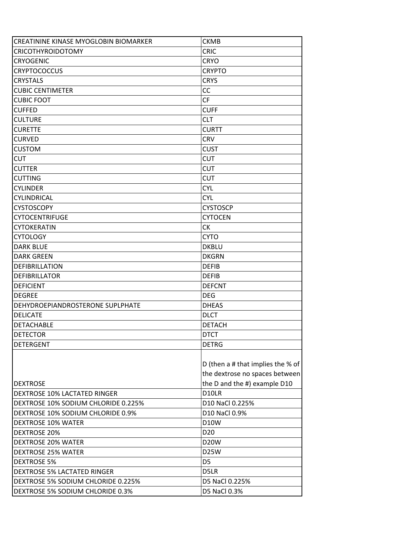| CREATININE KINASE MYOGLOBIN BIOMARKER | <b>CKMB</b>                       |
|---------------------------------------|-----------------------------------|
| <b>CRICOTHYROIDOTOMY</b>              | <b>CRIC</b>                       |
| <b>CRYOGENIC</b>                      | <b>CRYO</b>                       |
| <b>CRYPTOCOCCUS</b>                   | <b>CRYPTO</b>                     |
| <b>CRYSTALS</b>                       | <b>CRYS</b>                       |
| <b>CUBIC CENTIMETER</b>               | CC                                |
| <b>CUBIC FOOT</b>                     | <b>CF</b>                         |
| <b>CUFFED</b>                         | <b>CUFF</b>                       |
| <b>CULTURE</b>                        | <b>CLT</b>                        |
| <b>CURETTE</b>                        | <b>CURTT</b>                      |
| <b>CURVED</b>                         | <b>CRV</b>                        |
| <b>CUSTOM</b>                         | <b>CUST</b>                       |
| <b>CUT</b>                            | <b>CUT</b>                        |
| <b>CUTTER</b>                         | <b>CUT</b>                        |
| <b>CUTTING</b>                        | <b>CUT</b>                        |
| <b>CYLINDER</b>                       | <b>CYL</b>                        |
| CYLINDRICAL                           | <b>CYL</b>                        |
| <b>CYSTOSCOPY</b>                     | <b>CYSTOSCP</b>                   |
| <b>CYTOCENTRIFUGE</b>                 | <b>CYTOCEN</b>                    |
| <b>CYTOKERATIN</b>                    | СK                                |
| <b>CYTOLOGY</b>                       | <b>CYTO</b>                       |
| <b>DARK BLUE</b>                      | <b>DKBLU</b>                      |
| <b>DARK GREEN</b>                     | <b>DKGRN</b>                      |
| <b>DEFIBRILLATION</b>                 | <b>DEFIB</b>                      |
| <b>DEFIBRILLATOR</b>                  | <b>DEFIB</b>                      |
| <b>DEFICIENT</b>                      | <b>DEFCNT</b>                     |
| <b>DEGREE</b>                         | <b>DEG</b>                        |
| DEHYDROEPIANDROSTERONE SUPLPHATE      | <b>DHEAS</b>                      |
| <b>DELICATE</b>                       | <b>DLCT</b>                       |
| <b>DETACHABLE</b>                     | <b>DETACH</b>                     |
| <b>DETECTOR</b>                       | <b>DTCT</b>                       |
| <b>DETERGENT</b>                      | <b>DETRG</b>                      |
|                                       |                                   |
|                                       | D (then a # that implies the % of |
|                                       | the dextrose no spaces between    |
| <b>DEXTROSE</b>                       | the D and the #) example D10      |
| <b>DEXTROSE 10% LACTATED RINGER</b>   | D10LR                             |
| DEXTROSE 10% SODIUM CHLORIDE 0.225%   | D10 NaCl 0.225%                   |
| DEXTROSE 10% SODIUM CHLORIDE 0.9%     | D10 NaCl 0.9%                     |
| <b>DEXTROSE 10% WATER</b>             | <b>D10W</b>                       |
| <b>DEXTROSE 20%</b>                   | D <sub>20</sub>                   |
| <b>DEXTROSE 20% WATER</b>             | <b>D20W</b>                       |
| <b>DEXTROSE 25% WATER</b>             | <b>D25W</b>                       |
| <b>DEXTROSE 5%</b>                    | D <sub>5</sub>                    |
| <b>DEXTROSE 5% LACTATED RINGER</b>    | D5LR                              |
| DEXTROSE 5% SODIUM CHLORIDE 0.225%    | D5 NaCl 0.225%                    |
| DEXTROSE 5% SODIUM CHLORIDE 0.3%      | D5 NaCl 0.3%                      |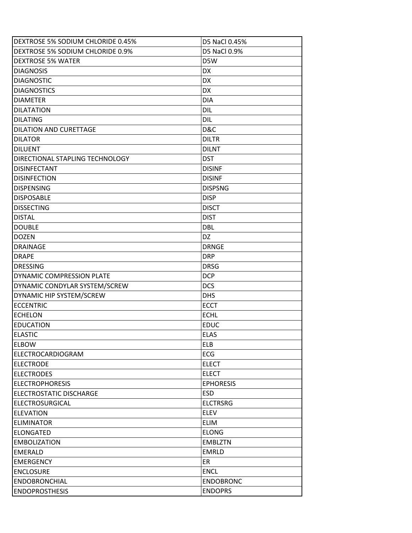| DEXTROSE 5% SODIUM CHLORIDE 0.45%      | D5 NaCl 0.45%       |
|----------------------------------------|---------------------|
| DEXTROSE 5% SODIUM CHLORIDE 0.9%       | <b>D5 NaCl 0.9%</b> |
| <b>IDEXTROSE 5% WATER</b>              | D5W                 |
| <b>DIAGNOSIS</b>                       | <b>DX</b>           |
| <b>DIAGNOSTIC</b>                      | DX.                 |
| <b>DIAGNOSTICS</b>                     | <b>DX</b>           |
| <b>DIAMETER</b>                        | <b>DIA</b>          |
| <b>DILATATION</b>                      | DIL                 |
| DILATING                               | DIL                 |
| <b>DILATION AND CURETTAGE</b>          | D&C                 |
| IDILATOR                               | <b>DILTR</b>        |
| DILUENT                                | <b>DILNT</b>        |
| <b>DIRECTIONAL STAPLING TECHNOLOGY</b> | <b>DST</b>          |
| <b>DISINFECTANT</b>                    | <b>DISINF</b>       |
| <b>IDISINFECTION</b>                   | <b>DISINF</b>       |
| <b>DISPENSING</b>                      | <b>DISPSNG</b>      |
| <b>DISPOSABLE</b>                      | <b>DISP</b>         |
| <b>DISSECTING</b>                      | <b>DISCT</b>        |
| <b>DISTAL</b>                          | <b>DIST</b>         |
| <b>DOUBLE</b>                          | <b>DBL</b>          |
| <b>DOZEN</b>                           | DZ                  |
| <b>DRAINAGE</b>                        | <b>DRNGE</b>        |
| <b>DRAPE</b>                           | <b>DRP</b>          |
| <b>DRESSING</b>                        | <b>DRSG</b>         |
| DYNAMIC COMPRESSION PLATE              | <b>DCP</b>          |
| DYNAMIC CONDYLAR SYSTEM/SCREW          | <b>DCS</b>          |
| <b>DYNAMIC HIP SYSTEM/SCREW</b>        | <b>DHS</b>          |
| <b>ECCENTRIC</b>                       | <b>ECCT</b>         |
| <b>ECHELON</b>                         | <b>ECHL</b>         |
| <b>EDUCATION</b>                       | <b>EDUC</b>         |
| <b>ELASTIC</b>                         | <b>ELAS</b>         |
| <b>ELBOW</b>                           | <b>ELB</b>          |
| ELECTROCARDIOGRAM                      | ECG                 |
| <b>ELECTRODE</b>                       | <b>ELECT</b>        |
| <b>ELECTRODES</b>                      | <b>ELECT</b>        |
| <b>ELECTROPHORESIS</b>                 | <b>EPHORESIS</b>    |
| <b>IELECTROSTATIC DISCHARGE</b>        | <b>ESD</b>          |
| ELECTROSURGICAL                        | <b>ELCTRSRG</b>     |
| <b>ELEVATION</b>                       | <b>ELEV</b>         |
| <b>ELIMINATOR</b>                      | <b>ELIM</b>         |
| <b>ELONGATED</b>                       | <b>ELONG</b>        |
| <b>EMBOLIZATION</b>                    | <b>EMBLZTN</b>      |
| <b>EMERALD</b>                         | <b>EMRLD</b>        |
| <b>EMERGENCY</b>                       | ER                  |
| <b>ENCLOSURE</b>                       | <b>ENCL</b>         |
| <b>ENDOBRONCHIAL</b>                   | <b>ENDOBRONC</b>    |
| <b>ENDOPROSTHESIS</b>                  | <b>ENDOPRS</b>      |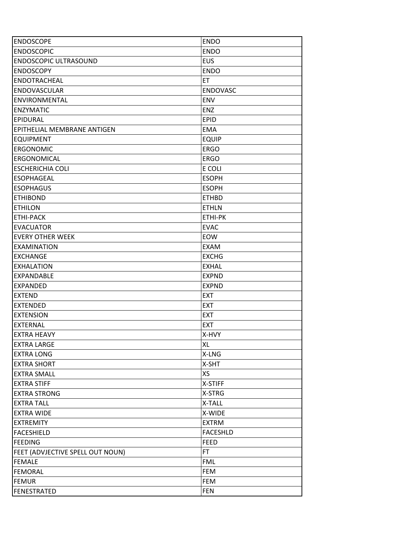| <b>ENDOSCOPE</b>                 | <b>ENDO</b>     |
|----------------------------------|-----------------|
| <b>ENDOSCOPIC</b>                | <b>ENDO</b>     |
| <b>ENDOSCOPIC ULTRASOUND</b>     | <b>EUS</b>      |
| <b>ENDOSCOPY</b>                 | <b>ENDO</b>     |
| <b>ENDOTRACHEAL</b>              | ET              |
| <b>ENDOVASCULAR</b>              | <b>ENDOVASC</b> |
| ENVIRONMENTAL                    | <b>ENV</b>      |
| <b>ENZYMATIC</b>                 | <b>ENZ</b>      |
| <b>EPIDURAL</b>                  | <b>EPID</b>     |
| EPITHELIAL MEMBRANE ANTIGEN      | <b>EMA</b>      |
| <b>EQUIPMENT</b>                 | <b>EQUIP</b>    |
| <b>ERGONOMIC</b>                 | <b>ERGO</b>     |
| ERGONOMICAL                      | <b>ERGO</b>     |
| <b>ESCHERICHIA COLI</b>          | E COLI          |
| <b>ESOPHAGEAL</b>                | <b>ESOPH</b>    |
| <b>ESOPHAGUS</b>                 | <b>ESOPH</b>    |
| <b>ETHIBOND</b>                  | <b>ETHBD</b>    |
| <b>ETHILON</b>                   | <b>ETHLN</b>    |
| <b>ETHI-PACK</b>                 | ETHI-PK         |
| <b>EVACUATOR</b>                 | <b>EVAC</b>     |
| <b>EVERY OTHER WEEK</b>          | EOW             |
| <b>EXAMINATION</b>               | <b>EXAM</b>     |
| <b>EXCHANGE</b>                  | <b>EXCHG</b>    |
| <b>EXHALATION</b>                | <b>EXHAL</b>    |
| <b>EXPANDABLE</b>                | <b>EXPND</b>    |
| <b>EXPANDED</b>                  | <b>EXPND</b>    |
| <b>EXTEND</b>                    | <b>EXT</b>      |
| <b>EXTENDED</b>                  | <b>EXT</b>      |
| <b>EXTENSION</b>                 | <b>EXT</b>      |
| <b>EXTERNAL</b>                  | <b>EXT</b>      |
| <b>EXTRA HEAVY</b>               | X-HVY           |
| <b>EXTRA LARGE</b>               | XL              |
| <b>EXTRA LONG</b>                | X-LNG           |
| <b>EXTRA SHORT</b>               | X-SHT           |
| <b>EXTRA SMALL</b>               | XS              |
| <b>EXTRA STIFF</b>               | X-STIFF         |
| <b>EXTRA STRONG</b>              | X-STRG          |
| <b>EXTRA TALL</b>                | X-TALL          |
| <b>EXTRA WIDE</b>                | X-WIDE          |
| <b>EXTREMITY</b>                 | <b>EXTRM</b>    |
| <b>FACESHIELD</b>                | <b>FACESHLD</b> |
| <b>FEEDING</b>                   | <b>FEED</b>     |
| FEET (ADVJECTIVE SPELL OUT NOUN) | FT.             |
| <b>FEMALE</b>                    | <b>FML</b>      |
| <b>FEMORAL</b>                   | <b>FEM</b>      |
| <b>FEMUR</b>                     | <b>FEM</b>      |
| <b>FENESTRATED</b>               | <b>FEN</b>      |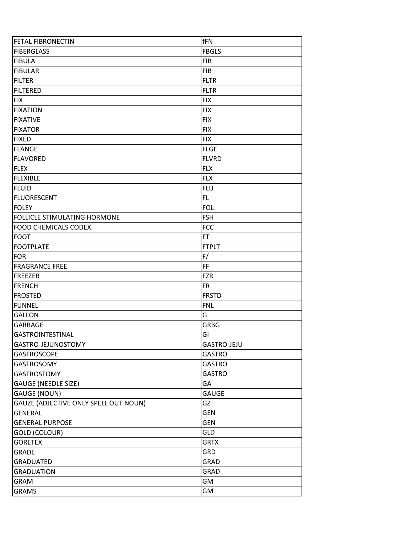| <b>FETAL FIBRONECTIN</b>              | fFN                |
|---------------------------------------|--------------------|
| FIBERGLASS                            | <b>FBGLS</b>       |
| FIBULA                                | <b>FIB</b>         |
| FIBULAR                               | <b>FIB</b>         |
| FILTER                                | <b>FLTR</b>        |
| FILTERED                              | <b>FLTR</b>        |
| <b>FIX</b>                            | <b>FIX</b>         |
| <b>FIXATION</b>                       | <b>FIX</b>         |
| <b>FIXATIVE</b>                       | <b>FIX</b>         |
| <b>FIXATOR</b>                        | <b>FIX</b>         |
| <b>FIXED</b>                          | <b>FIX</b>         |
| FLANGE                                | <b>FLGE</b>        |
| FLAVORED                              | <b>FLVRD</b>       |
| FLEX                                  | <b>FLX</b>         |
| FLEXIBLE                              | <b>FLX</b>         |
| FLUID                                 | <b>FLU</b>         |
| FLUORESCENT                           | FL                 |
| <b>FOLEY</b>                          | <b>FOL</b>         |
| <b>FOLLICLE STIMULATING HORMONE</b>   | <b>FSH</b>         |
| <b>FOOD CHEMICALS CODEX</b>           | <b>FCC</b>         |
| <b>FOOT</b>                           | FT                 |
| <b>FOOTPLATE</b>                      | <b>FTPLT</b>       |
| <b>FOR</b>                            | F/                 |
| <b>FRAGRANCE FREE</b>                 | FF                 |
| <b>FREEZER</b>                        | <b>FZR</b>         |
| FRENCH                                | <b>FR</b>          |
| <b>IFROSTED</b>                       | <b>FRSTD</b>       |
| FUNNEL                                | <b>FNL</b>         |
| GALLON                                | G                  |
| <b>GARBAGE</b>                        | <b>GRBG</b>        |
| <b>GASTROINTESTINAL</b>               | GI                 |
| GASTRO-JEJUNOSTOMY                    | <b>GASTRO-JEJU</b> |
| <b>GASTROSCOPE</b>                    | <b>GASTRO</b>      |
| <b>GASTROSOMY</b>                     | <b>GASTRO</b>      |
| <b>GASTROSTOMY</b>                    | <b>GASTRO</b>      |
| <b>GAUGE (NEEDLE SIZE)</b>            | GA                 |
| <b>GAUGE (NOUN)</b>                   | <b>GAUGE</b>       |
| GAUZE (ADJECTIVE ONLY SPELL OUT NOUN) | GZ                 |
| <b>GENERAL</b>                        | <b>GEN</b>         |
| <b>GENERAL PURPOSE</b>                | <b>GEN</b>         |
| <b>GOLD (COLOUR)</b>                  | GLD                |
| <b>GORETEX</b>                        | <b>GRTX</b>        |
| <b>GRADE</b>                          | <b>GRD</b>         |
| <b>GRADUATED</b>                      | <b>GRAD</b>        |
| <b>GRADUATION</b>                     | <b>GRAD</b>        |
| <b>GRAM</b>                           | GМ                 |
| <b>GRAMS</b>                          | GM                 |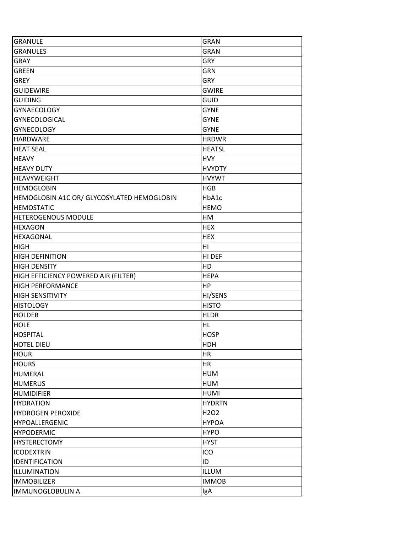| <b>GRANULE</b>                             | <b>GRAN</b>                   |
|--------------------------------------------|-------------------------------|
| <b>GRANULES</b>                            | <b>GRAN</b>                   |
| <b>GRAY</b>                                | GRY                           |
| <b>GREEN</b>                               | <b>GRN</b>                    |
| <b>GREY</b>                                | GRY                           |
| <b>GUIDEWIRE</b>                           | <b>GWIRE</b>                  |
| <b>GUIDING</b>                             | <b>GUID</b>                   |
| <b>GYNAECOLOGY</b>                         | <b>GYNE</b>                   |
| <b>GYNECOLOGICAL</b>                       | <b>GYNE</b>                   |
| <b>GYNECOLOGY</b>                          | <b>GYNE</b>                   |
| <b>HARDWARE</b>                            | <b>HRDWR</b>                  |
| <b>HEAT SEAL</b>                           | <b>HEATSL</b>                 |
| <b>HEAVY</b>                               | <b>HVY</b>                    |
| <b>HEAVY DUTY</b>                          | <b>HVYDTY</b>                 |
| <b>HEAVYWEIGHT</b>                         | <b>HVYWT</b>                  |
| <b>HEMOGLOBIN</b>                          | <b>HGB</b>                    |
| HEMOGLOBIN A1C OR/ GLYCOSYLATED HEMOGLOBIN | HbA1c                         |
| <b>HEMOSTATIC</b>                          | <b>HEMO</b>                   |
| HETEROGENOUS MODULE                        | HM                            |
| <b>HEXAGON</b>                             | <b>HEX</b>                    |
| <b>HEXAGONAL</b>                           | <b>HEX</b>                    |
| <b>HIGH</b>                                | H <sub>II</sub>               |
| <b>HIGH DEFINITION</b>                     | HI DEF                        |
| <b>HIGH DENSITY</b>                        | HD                            |
| HIGH EFFICIENCY POWERED AIR (FILTER)       | <b>HEPA</b>                   |
| <b>HIGH PERFORMANCE</b>                    | HP                            |
| <b>HIGH SENSITIVITY</b>                    | HI/SENS                       |
| <b>HISTOLOGY</b>                           | <b>HISTO</b>                  |
| <b>HOLDER</b>                              | <b>HLDR</b>                   |
| <b>HOLE</b>                                | HL                            |
| <b>HOSPITAL</b>                            | <b>HOSP</b>                   |
| <b>HOTEL DIEU</b>                          | <b>HDH</b>                    |
| <b>HOUR</b>                                | HR                            |
| <b>HOURS</b>                               | HR                            |
| <b>HUMERAL</b>                             | <b>HUM</b>                    |
| <b>HUMERUS</b>                             | <b>HUM</b>                    |
| <b>HUMIDIFIER</b>                          | <b>HUMI</b>                   |
| <b>HYDRATION</b>                           | <b>HYDRTN</b>                 |
| <b>HYDROGEN PEROXIDE</b>                   | H <sub>2</sub> O <sub>2</sub> |
| HYPOALLERGENIC                             | <b>HYPOA</b>                  |
| <b>HYPODERMIC</b>                          | <b>HYPO</b>                   |
| <b>HYSTERECTOMY</b>                        | <b>HYST</b>                   |
| <b>ICODEXTRIN</b>                          | ICO                           |
| IDENTIFICATION                             | ID                            |
| ILLUMINATION                               | ILLUM                         |
| <b>IMMOBILIZER</b>                         | <b>IMMOB</b>                  |
| <b>IMMUNOGLOBULIN A</b>                    | IgA                           |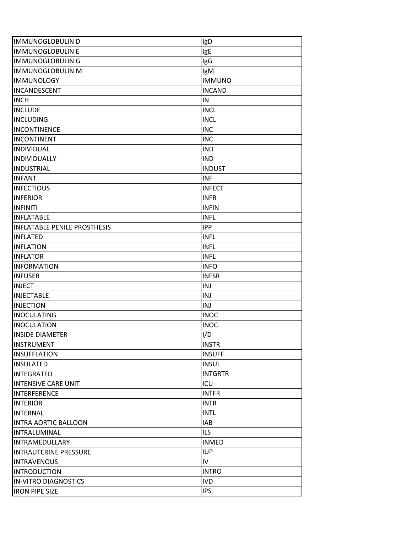| <b>IMMUNOGLOBULIN D</b>             | IgD            |
|-------------------------------------|----------------|
| <b>IMMUNOGLOBULIN E</b>             | IgE            |
| <b>IMMUNOGLOBULING</b>              | IgG            |
| <b>IMMUNOGLOBULIN M</b>             | IgM            |
| <b>IMMUNOLOGY</b>                   | <b>IMMUNO</b>  |
| INCANDESCENT                        | <b>INCAND</b>  |
| <b>INCH</b>                         | IN             |
| <b>INCLUDE</b>                      | <b>INCL</b>    |
| <b>INCLUDING</b>                    | <b>INCL</b>    |
| <b>INCONTINENCE</b>                 | <b>INC</b>     |
| <b>INCONTINENT</b>                  | <b>INC</b>     |
| <b>INDIVIDUAL</b>                   | <b>IND</b>     |
| INDIVIDUALLY                        | <b>IND</b>     |
| <b>INDUSTRIAL</b>                   | <b>INDUST</b>  |
| <b>INFANT</b>                       | <b>INF</b>     |
| <b>INFECTIOUS</b>                   | <b>INFECT</b>  |
| <b>INFERIOR</b>                     | <b>INFR</b>    |
| <b>INFINITI</b>                     | <b>INFIN</b>   |
| <b>INFLATABLE</b>                   | <b>INFL</b>    |
| <b>INFLATABLE PENILE PROSTHESIS</b> | <b>IPP</b>     |
| <b>INFLATED</b>                     | <b>INFL</b>    |
| <b>INFLATION</b>                    | <b>INFL</b>    |
| <b>INFLATOR</b>                     | <b>INFL</b>    |
| <b>INFORMATION</b>                  | <b>INFO</b>    |
| <b>INFUSER</b>                      | <b>INFSR</b>   |
| <b>INJECT</b>                       | INJ            |
| <b>INJECTABLE</b>                   | INJ            |
| <b>INJECTION</b>                    | INJ            |
| <b>INOCULATING</b>                  | <b>INOC</b>    |
| <b>INOCULATION</b>                  | <b>INOC</b>    |
| <b>INSIDE DIAMETER</b>              | I/D            |
| <b>INSTRUMENT</b>                   | <b>INSTR</b>   |
| <b>INSUFFLATION</b>                 | <b>INSUFF</b>  |
| <b>INSULATED</b>                    | <b>INSUL</b>   |
| INTEGRATED                          | <b>INTGRTR</b> |
| <b>INTENSIVE CARE UNIT</b>          | ICU            |
| <b>INTERFERENCE</b>                 | <b>INTFR</b>   |
| <b>INTERIOR</b>                     | <b>INTR</b>    |
| <b>INTERNAL</b>                     | <b>INTL</b>    |
| <b>INTRA AORTIC BALLOON</b>         | IAB            |
| INTRALUMINAL                        | <b>ILS</b>     |
| <b>INTRAMEDULLARY</b>               | <b>INMED</b>   |
| <b>INTRAUTERINE PRESSURE</b>        | <b>IUP</b>     |
| <b>INTRAVENOUS</b>                  | IV             |
| <b>INTRODUCTION</b>                 | <b>INTRO</b>   |
| <b>IN-VITRO DIAGNOSTICS</b>         | <b>IVD</b>     |
| <b>IRON PIPE SIZE</b>               | <b>IPS</b>     |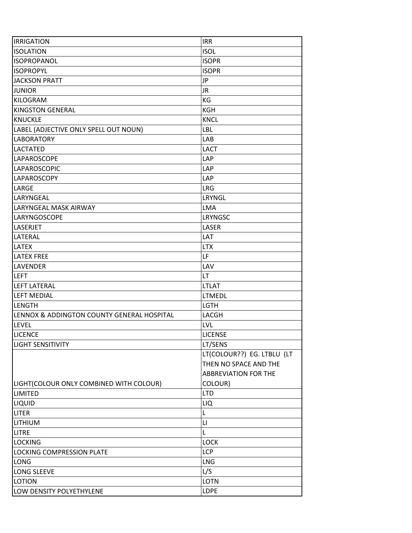| <b>IRRIGATION</b>                          | <b>IRR</b>                  |
|--------------------------------------------|-----------------------------|
| <b>ISOLATION</b>                           | <b>ISOL</b>                 |
| <b>ISOPROPANOL</b>                         | <b>ISOPR</b>                |
| <b>ISOPROPYL</b>                           | <b>ISOPR</b>                |
| <b>JACKSON PRATT</b>                       | JP                          |
| <b>JUNIOR</b>                              | <b>JR</b>                   |
| KILOGRAM                                   | KG                          |
| <b>KINGSTON GENERAL</b>                    | KGH                         |
| <b>KNUCKLE</b>                             | <b>KNCL</b>                 |
| LABEL (ADJECTIVE ONLY SPELL OUT NOUN)      | <b>LBL</b>                  |
| <b>LABORATORY</b>                          | LAB                         |
| <b>LACTATED</b>                            | <b>LACT</b>                 |
| LAPAROSCOPE                                | <b>LAP</b>                  |
| LAPAROSCOPIC                               | LAP                         |
| LAPAROSCOPY                                | <b>LAP</b>                  |
| LARGE                                      | <b>LRG</b>                  |
| LARYNGEAL                                  | LRYNGL                      |
| LARYNGEAL MASK AIRWAY                      | <b>LMA</b>                  |
| LARYNGOSCOPE                               | LRYNGSC                     |
| LASERJET                                   | LASER                       |
| LATERAL                                    | LAT                         |
| <b>LATEX</b>                               | <b>LTX</b>                  |
| <b>LATEX FREE</b>                          | LF                          |
| <b>LAVENDER</b>                            | LAV                         |
| <b>LEFT</b>                                | LT                          |
| <b>LEFT LATERAL</b>                        | <b>LTLAT</b>                |
| <b>LEFT MEDIAL</b>                         | <b>LTMEDL</b>               |
| <b>LENGTH</b>                              | <b>LGTH</b>                 |
| LENNOX & ADDINGTON COUNTY GENERAL HOSPITAL | LACGH                       |
| <b>LEVEL</b>                               | <b>LVL</b>                  |
| <b>LICENCE</b>                             | <b>LICENSE</b>              |
| <b>LIGHT SENSITIVITY</b>                   | LT/SENS                     |
|                                            | LT(COLOUR??) EG. LTBLU (LT  |
|                                            | THEN NO SPACE AND THE       |
|                                            | <b>ABBREVIATION FOR THE</b> |
| LIGHT(COLOUR ONLY COMBINED WITH COLOUR)    | COLOUR)                     |
| <b>LIMITED</b>                             | <b>LTD</b>                  |
| LIQUID                                     | LIQ                         |
| <b>LITER</b>                               | L                           |
| LITHIUM                                    | LI                          |
| <b>LITRE</b>                               | L                           |
| <b>LOCKING</b>                             | <b>LOCK</b>                 |
| LOCKING COMPRESSION PLATE                  | <b>LCP</b>                  |
| <b>LONG</b>                                | <b>LNG</b>                  |
| LONG SLEEVE                                | L/S                         |
| <b>LOTION</b>                              | <b>LOTN</b>                 |
| LOW DENSITY POLYETHYLENE                   | LDPE                        |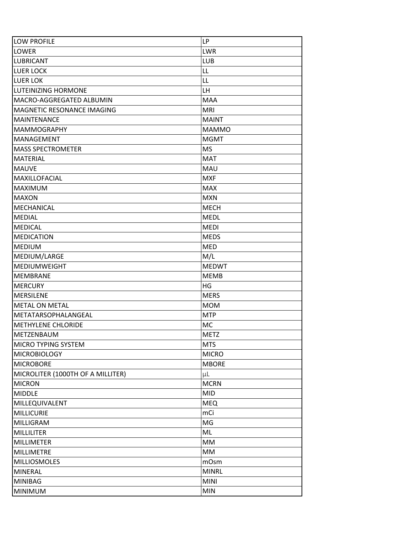| <b>LOW PROFILE</b>                | LP           |
|-----------------------------------|--------------|
| LOWER                             | <b>LWR</b>   |
| <b>LUBRICANT</b>                  | LUB          |
| <b>LUER LOCK</b>                  | LL           |
| <b>LUER LOK</b>                   | LL           |
| <b>ILUTEINIZING HORMONE</b>       | LH           |
| MACRO-AGGREGATED ALBUMIN          | <b>MAA</b>   |
| MAGNETIC RESONANCE IMAGING        | <b>MRI</b>   |
| <b>MAINTENANCE</b>                | <b>MAINT</b> |
| <b>MAMMOGRAPHY</b>                | <b>MAMMO</b> |
| MANAGEMENT                        | <b>MGMT</b>  |
| <b>MASS SPECTROMETER</b>          | <b>MS</b>    |
| <b>MATERIAL</b>                   | <b>MAT</b>   |
| <b>MAUVE</b>                      | <b>MAU</b>   |
| MAXILLOFACIAL                     | <b>MXF</b>   |
| <b>MAXIMUM</b>                    | <b>MAX</b>   |
| <b>MAXON</b>                      | <b>MXN</b>   |
| <b>MECHANICAL</b>                 | <b>MECH</b>  |
| <b>MEDIAL</b>                     | <b>MEDL</b>  |
| <b>MEDICAL</b>                    | <b>MEDI</b>  |
| <b>MEDICATION</b>                 | <b>MEDS</b>  |
| <b>MEDIUM</b>                     | <b>MED</b>   |
| MEDIUM/LARGE                      | M/L          |
| <b>MEDIUMWEIGHT</b>               | <b>MEDWT</b> |
| <b>MEMBRANE</b>                   | <b>MEMB</b>  |
| <b>MERCURY</b>                    | HG           |
| <b>MERSILENE</b>                  | <b>MERS</b>  |
| <b>METAL ON METAL</b>             | <b>MOM</b>   |
| METATARSOPHALANGEAL               | <b>MTP</b>   |
| <b>METHYLENE CHLORIDE</b>         | <b>MC</b>    |
| <b>METZENBAUM</b>                 | <b>METZ</b>  |
| MICRO TYPING SYSTEM               | <b>MTS</b>   |
| <b>MICROBIOLOGY</b>               | <b>MICRO</b> |
| <b>MICROBORE</b>                  | <b>MBORE</b> |
| MICROLITER (1000TH OF A MILLITER) | μL           |
| <b>MICRON</b>                     | <b>MCRN</b>  |
| <b>MIDDLE</b>                     | <b>MID</b>   |
| MILLEQUIVALENT                    | <b>MEQ</b>   |
| <b>MILLICURIE</b>                 | mCi          |
| MILLIGRAM                         | MG           |
| <b>MILLILITER</b>                 | ML           |
| <b>MILLIMETER</b>                 | MM           |
| MILLIMETRE                        | MM           |
| <b>MILLIOSMOLES</b>               | mOsm         |
| <b>MINERAL</b>                    | <b>MINRL</b> |
| <b>MINIBAG</b>                    | <b>MINI</b>  |
| <b>MINIMUM</b>                    | <b>MIN</b>   |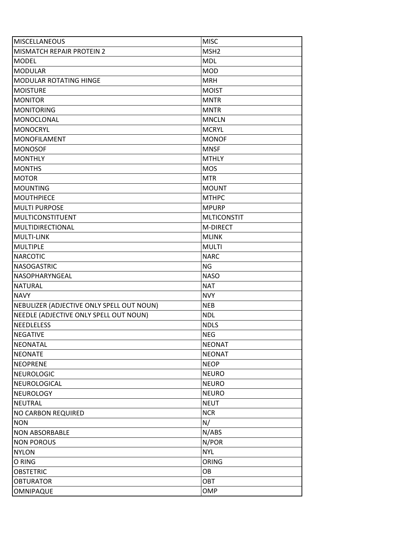| <b>MISCELLANEOUS</b>                      | <b>MISC</b>        |
|-------------------------------------------|--------------------|
| <b>MISMATCH REPAIR PROTEIN 2</b>          | MSH <sub>2</sub>   |
| <b>MODEL</b>                              | <b>MDL</b>         |
| <b>MODULAR</b>                            | <b>MOD</b>         |
| <b>MODULAR ROTATING HINGE</b>             | <b>MRH</b>         |
| <b>MOISTURE</b>                           | <b>MOIST</b>       |
| <b>MONITOR</b>                            | <b>MNTR</b>        |
| <b>MONITORING</b>                         | <b>MNTR</b>        |
| MONOCLONAL                                | <b>MNCLN</b>       |
| <b>MONOCRYL</b>                           | <b>MCRYL</b>       |
| <b>MONOFILAMENT</b>                       | <b>MONOF</b>       |
| <b>MONOSOF</b>                            | <b>MNSF</b>        |
| <b>MONTHLY</b>                            | <b>MTHLY</b>       |
| <b>MONTHS</b>                             | <b>MOS</b>         |
| <b>MOTOR</b>                              | <b>MTR</b>         |
| <b>MOUNTING</b>                           | <b>MOUNT</b>       |
| <b>MOUTHPIECE</b>                         | <b>MTHPC</b>       |
| <b>MULTI PURPOSE</b>                      | <b>MPURP</b>       |
| <b>MULTICONSTITUENT</b>                   | <b>MLTICONSTIT</b> |
| MULTIDIRECTIONAL                          | <b>M-DIRECT</b>    |
| <b>MULTI-LINK</b>                         | <b>MLINK</b>       |
| <b>MULTIPLE</b>                           | <b>MULTI</b>       |
| <b>NARCOTIC</b>                           | <b>NARC</b>        |
| <b>NASOGASTRIC</b>                        | NG                 |
| NASOPHARYNGEAL                            | <b>NASO</b>        |
| <b>NATURAL</b>                            | <b>NAT</b>         |
| <b>NAVY</b>                               | <b>NVY</b>         |
| NEBULIZER (ADJECTIVE ONLY SPELL OUT NOUN) | <b>NEB</b>         |
| NEEDLE (ADJECTIVE ONLY SPELL OUT NOUN)    | <b>NDL</b>         |
| <b>NEEDLELESS</b>                         | <b>NDLS</b>        |
| <b>NEGATIVE</b>                           | <b>NEG</b>         |
| <b>NEONATAL</b>                           | <b>NEONAT</b>      |
| <b>NEONATE</b>                            | <b>NEONAT</b>      |
| <b>NEOPRENE</b>                           | <b>NEOP</b>        |
| <b>NEUROLOGIC</b>                         | <b>NEURO</b>       |
| NEUROLOGICAL                              | <b>NEURO</b>       |
| <b>NEUROLOGY</b>                          | <b>NEURO</b>       |
| <b>NEUTRAL</b>                            | <b>NEUT</b>        |
| <b>NO CARBON REQUIRED</b>                 | <b>NCR</b>         |
| <b>NON</b>                                | N/                 |
| <b>NON ABSORBABLE</b>                     | N/ABS              |
| <b>NON POROUS</b>                         | N/POR              |
| <b>NYLON</b>                              | <b>NYL</b>         |
| O RING                                    | <b>ORING</b>       |
| <b>OBSTETRIC</b>                          | OB                 |
| <b>OBTURATOR</b>                          | OBT                |
| <b>OMNIPAQUE</b>                          | OMP                |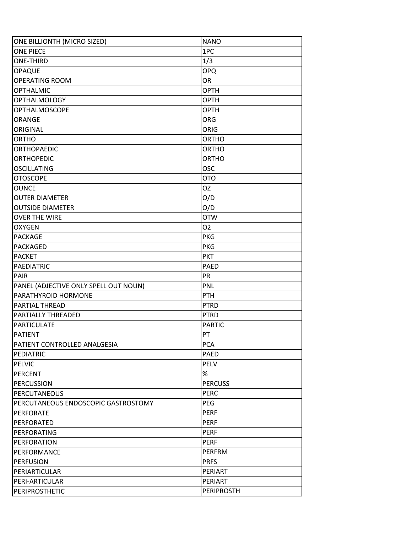| ONE BILLIONTH (MICRO SIZED)           | <b>NANO</b>       |
|---------------------------------------|-------------------|
| <b>ONE PIECE</b>                      | 1PC               |
| <b>ONE-THIRD</b>                      | 1/3               |
| <b>OPAQUE</b>                         | <b>OPQ</b>        |
| <b>OPERATING ROOM</b>                 | OR                |
| <b>OPTHALMIC</b>                      | <b>OPTH</b>       |
| <b>OPTHALMOLOGY</b>                   | <b>OPTH</b>       |
| <b>OPTHALMOSCOPE</b>                  | <b>OPTH</b>       |
| ORANGE                                | <b>ORG</b>        |
| ORIGINAL                              | ORIG              |
| <b>ORTHO</b>                          | <b>ORTHO</b>      |
| <b>ORTHOPAEDIC</b>                    | <b>ORTHO</b>      |
| <b>ORTHOPEDIC</b>                     | <b>ORTHO</b>      |
| <b>OSCILLATING</b>                    | OSC               |
| <b>OTOSCOPE</b>                       | <b>OTO</b>        |
| <b>OUNCE</b>                          | OZ                |
| <b>OUTER DIAMETER</b>                 | O/D               |
| <b>OUTSIDE DIAMETER</b>               | O/D               |
| <b>OVER THE WIRE</b>                  | <b>OTW</b>        |
| <b>OXYGEN</b>                         | 02                |
| <b>PACKAGE</b>                        | <b>PKG</b>        |
| PACKAGED                              | <b>PKG</b>        |
| <b>PACKET</b>                         | <b>PKT</b>        |
| <b>PAEDIATRIC</b>                     | <b>PAED</b>       |
| <b>PAIR</b>                           | PR                |
| PANEL (ADJECTIVE ONLY SPELL OUT NOUN) | <b>PNL</b>        |
| PARATHYROID HORMONE                   | PTH               |
| <b>PARTIAL THREAD</b>                 | <b>PTRD</b>       |
| <b>PARTIALLY THREADED</b>             | <b>PTRD</b>       |
| <b>PARTICULATE</b>                    | <b>PARTIC</b>     |
| <b>PATIENT</b>                        | PT                |
| PATIENT CONTROLLED ANALGESIA          | <b>PCA</b>        |
| PEDIATRIC                             | PAED              |
| <b>PELVIC</b>                         | PELV              |
| <b>PERCENT</b>                        | %                 |
| <b>PERCUSSION</b>                     | <b>PERCUSS</b>    |
| <b>PERCUTANEOUS</b>                   | <b>PERC</b>       |
| PERCUTANEOUS ENDOSCOPIC GASTROSTOMY   | <b>PEG</b>        |
| <b>PERFORATE</b>                      | <b>PERF</b>       |
| PERFORATED                            | <b>PERF</b>       |
| PERFORATING                           | <b>PERF</b>       |
| <b>PERFORATION</b>                    | <b>PERF</b>       |
| PERFORMANCE                           | PERFRM            |
| <b>PERFUSION</b>                      | <b>PRFS</b>       |
| PERIARTICULAR                         | PERIART           |
| PERI-ARTICULAR                        | PERIART           |
| PERIPROSTHETIC                        | <b>PERIPROSTH</b> |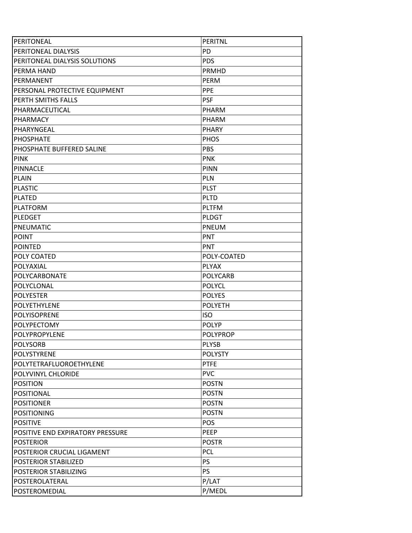| PERITONEAL                       | <b>PERITNL</b>  |
|----------------------------------|-----------------|
| PERITONEAL DIALYSIS              | PD              |
| PERITONEAL DIALYSIS SOLUTIONS    | <b>PDS</b>      |
| PERMA HAND                       | <b>PRMHD</b>    |
| PFRMANFNT                        | PERM            |
| PERSONAL PROTECTIVE EQUIPMENT    | <b>PPE</b>      |
| PERTH SMITHS FALLS               | <b>PSF</b>      |
| PHARMACEUTICAL                   | PHARM           |
| PHARMACY                         | <b>PHARM</b>    |
| PHARYNGEAL                       | <b>PHARY</b>    |
| <b>PHOSPHATE</b>                 | PHOS            |
| PHOSPHATE BUFFERED SALINE        | PBS             |
| <b>PINK</b>                      | <b>PNK</b>      |
| <b>PINNACLE</b>                  | <b>PINN</b>     |
| <b>PLAIN</b>                     | <b>PLN</b>      |
| <b>PLASTIC</b>                   | <b>PLST</b>     |
| <b>PLATED</b>                    | <b>PLTD</b>     |
| <b>PLATFORM</b>                  | <b>PLTFM</b>    |
| <b>PLEDGET</b>                   | <b>PLDGT</b>    |
| PNEUMATIC                        | <b>PNEUM</b>    |
| <b>POINT</b>                     | <b>PNT</b>      |
| <b>POINTED</b>                   | PNT             |
| POLY COATED                      | POLY-COATED     |
| POLYAXIAL                        | <b>PLYAX</b>    |
| POLYCARBONATE                    | <b>POLYCARB</b> |
| POLYCLONAL                       | <b>POLYCL</b>   |
| <b>POLYESTER</b>                 | <b>POLYES</b>   |
| <b>POLYETHYLENE</b>              | <b>POLYETH</b>  |
| <b>POLYISOPRENE</b>              | <b>ISO</b>      |
| <b>POLYPECTOMY</b>               | <b>POLYP</b>    |
| POLYPROPYLENE                    | <b>POLYPROP</b> |
| <b>POLYSORB</b>                  | <b>PLYSB</b>    |
| POLYSTYRENE                      | <b>POLYSTY</b>  |
| POLYTETRAFLUOROETHYLENE          | <b>PTFE</b>     |
| POLYVINYL CHLORIDE               | <b>PVC</b>      |
| <b>POSITION</b>                  | <b>POSTN</b>    |
| POSITIONAL                       | <b>POSTN</b>    |
| <b>POSITIONER</b>                | <b>POSTN</b>    |
| <b>POSITIONING</b>               | <b>POSTN</b>    |
| <b>POSITIVE</b>                  | POS             |
| POSITIVE END EXPIRATORY PRESSURE | PEEP            |
| <b>POSTERIOR</b>                 | <b>POSTR</b>    |
| POSTERIOR CRUCIAL LIGAMENT       | <b>PCL</b>      |
| POSTERIOR STABILIZED             | PS              |
| POSTERIOR STABILIZING            | <b>PS</b>       |
| POSTEROLATERAL                   | P/LAT           |
| POSTEROMEDIAL                    | P/MEDL          |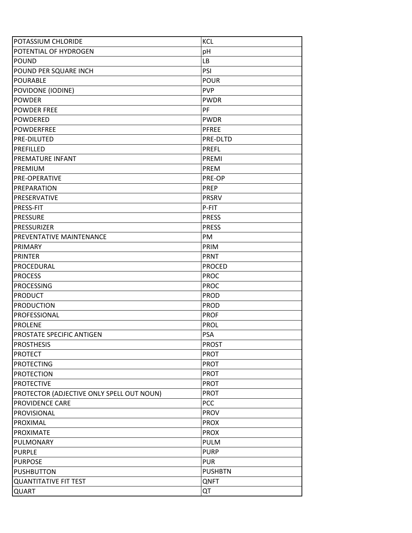| <b>POTASSIUM CHLORIDE</b>                 | <b>KCL</b>     |
|-------------------------------------------|----------------|
| POTENTIAL OF HYDROGEN                     | pH             |
| <b>POUND</b>                              | <b>LB</b>      |
| POUND PER SQUARE INCH                     | <b>PSI</b>     |
| <b>POURABLE</b>                           | <b>POUR</b>    |
| POVIDONE (IODINE)                         | <b>PVP</b>     |
| <b>POWDER</b>                             | <b>PWDR</b>    |
| <b>POWDER FREE</b>                        | PF             |
| <b>POWDERED</b>                           | <b>PWDR</b>    |
| <b>POWDERFREE</b>                         | <b>PFREE</b>   |
| <b>PRE-DILUTED</b>                        | PRE-DLTD       |
| PREFILLED                                 | <b>PREFL</b>   |
| <b>PREMATURE INFANT</b>                   | PREMI          |
| <b>PREMIUM</b>                            | <b>PREM</b>    |
| <b>PRE-OPERATIVE</b>                      | PRE-OP         |
| <b>PREPARATION</b>                        | <b>PREP</b>    |
| PRESERVATIVE                              | PRSRV          |
| <b>PRESS-FIT</b>                          | P-FIT          |
| <b>PRESSURE</b>                           | <b>PRESS</b>   |
| <b>PRESSURIZER</b>                        | <b>PRESS</b>   |
| PREVENTATIVE MAINTENANCE                  | PM             |
| PRIMARY                                   | PRIM           |
| <b>PRINTER</b>                            | <b>PRNT</b>    |
| PROCEDURAL                                | <b>PROCED</b>  |
| <b>PROCESS</b>                            | <b>PROC</b>    |
| <b>PROCESSING</b>                         | <b>PROC</b>    |
| <b>PRODUCT</b>                            | <b>PROD</b>    |
| <b>PRODUCTION</b>                         | PROD           |
| PROFESSIONAL                              | <b>PROF</b>    |
| <b>PROLENE</b>                            | <b>PROL</b>    |
| <b>PROSTATE SPECIFIC ANTIGEN</b>          | <b>PSA</b>     |
| <b>PROSTHESIS</b>                         | <b>PROST</b>   |
| <b>PROTECT</b>                            | <b>PROT</b>    |
| <b>PROTECTING</b>                         | <b>PROT</b>    |
| <b>PROTECTION</b>                         | <b>PROT</b>    |
| <b>PROTECTIVE</b>                         | <b>PROT</b>    |
| PROTECTOR (ADJECTIVE ONLY SPELL OUT NOUN) | <b>PROT</b>    |
| PROVIDENCE CARE                           | PCC            |
| PROVISIONAL                               | <b>PROV</b>    |
| PROXIMAL                                  | <b>PROX</b>    |
| PROXIMATE                                 | <b>PROX</b>    |
| PULMONARY                                 | <b>PULM</b>    |
| <b>PURPLE</b>                             | <b>PURP</b>    |
| <b>PURPOSE</b>                            | <b>PUR</b>     |
| <b>PUSHBUTTON</b>                         | <b>PUSHBTN</b> |
| <b>QUANTITATIVE FIT TEST</b>              | QNFT           |
| QUART                                     | QT             |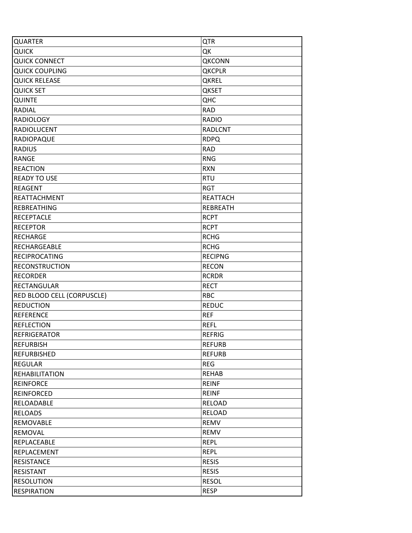| QUARTER                    | <b>QTR</b>      |
|----------------------------|-----------------|
| <b>QUICK</b>               | QK              |
| <b>QUICK CONNECT</b>       | <b>QKCONN</b>   |
| <b>QUICK COUPLING</b>      | <b>QKCPLR</b>   |
| <b>QUICK RELEASE</b>       | <b>QKREL</b>    |
| <b>QUICK SET</b>           | <b>QKSET</b>    |
| QUINTE                     | QHC             |
| RADIAL                     | <b>RAD</b>      |
| <b>RADIOLOGY</b>           | <b>RADIO</b>    |
| <b>RADIOLUCENT</b>         | <b>RADLCNT</b>  |
| RADIOPAQUE                 | <b>RDPQ</b>     |
| <b>RADIUS</b>              | <b>RAD</b>      |
| <b>RANGE</b>               | <b>RNG</b>      |
| <b>REACTION</b>            | <b>RXN</b>      |
| <b>READY TO USE</b>        | <b>RTU</b>      |
| <b>REAGENT</b>             | <b>RGT</b>      |
| REATTACHMENT               | <b>REATTACH</b> |
| <b>REBREATHING</b>         | <b>REBREATH</b> |
| <b>RECEPTACLE</b>          | <b>RCPT</b>     |
| <b>RECEPTOR</b>            | <b>RCPT</b>     |
| <b>RECHARGE</b>            | <b>RCHG</b>     |
| RECHARGEABLE               | <b>RCHG</b>     |
| <b>RECIPROCATING</b>       | <b>RECIPNG</b>  |
| <b>RECONSTRUCTION</b>      | <b>RECON</b>    |
| <b>RECORDER</b>            | <b>RCRDR</b>    |
| <b>RECTANGULAR</b>         | <b>RECT</b>     |
| RED BLOOD CELL (CORPUSCLE) | <b>RBC</b>      |
| <b>REDUCTION</b>           | <b>REDUC</b>    |
| <b>REFERENCE</b>           | <b>REF</b>      |
| <b>REFLECTION</b>          | <b>REFL</b>     |
| <b>REFRIGERATOR</b>        | <b>REFRIG</b>   |
| <b>REFURBISH</b>           | <b>REFURB</b>   |
| <b>REFURBISHED</b>         | <b>REFURB</b>   |
| REGULAR                    | <b>REG</b>      |
| <b>REHABILITATION</b>      | <b>REHAB</b>    |
| <b>REINFORCE</b>           | <b>REINF</b>    |
| <b>REINFORCED</b>          | <b>REINF</b>    |
| RELOADABLE                 | <b>RELOAD</b>   |
| <b>RELOADS</b>             | <b>RELOAD</b>   |
| REMOVABLE                  | REMV            |
| REMOVAL                    | REMV            |
| REPLACEABLE                | <b>REPL</b>     |
| REPLACEMENT                | <b>REPL</b>     |
| <b>RESISTANCE</b>          | <b>RESIS</b>    |
| <b>RESISTANT</b>           | <b>RESIS</b>    |
| <b>RESOLUTION</b>          | <b>RESOL</b>    |
| <b>RESPIRATION</b>         | <b>RESP</b>     |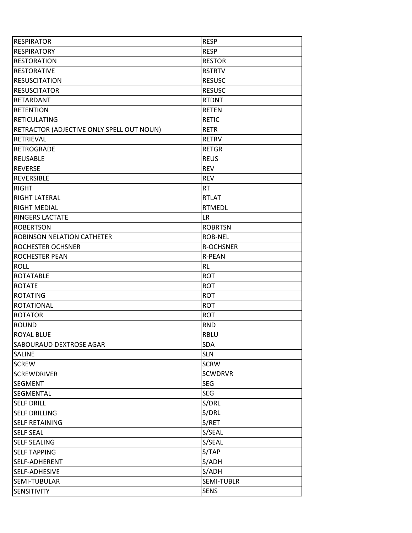| <b>RESPIRATOR</b>                         | <b>RESP</b>      |
|-------------------------------------------|------------------|
| <b>RESPIRATORY</b>                        | <b>RESP</b>      |
| <b>RESTORATION</b>                        | <b>RESTOR</b>    |
| <b>RESTORATIVE</b>                        | <b>RSTRTV</b>    |
| <b>RESUSCITATION</b>                      | <b>RESUSC</b>    |
| <b>RESUSCITATOR</b>                       | <b>RESUSC</b>    |
| RETARDANT                                 | <b>RTDNT</b>     |
| <b>RETENTION</b>                          | <b>RETEN</b>     |
| <b>RETICULATING</b>                       | <b>RETIC</b>     |
| RETRACTOR (ADJECTIVE ONLY SPELL OUT NOUN) | <b>RETR</b>      |
| RETRIEVAL                                 | <b>RETRV</b>     |
| <b>RETROGRADE</b>                         | <b>RETGR</b>     |
| <b>REUSABLE</b>                           | <b>REUS</b>      |
| <b>REVERSE</b>                            | <b>REV</b>       |
| <b>REVERSIBLE</b>                         | <b>REV</b>       |
| <b>RIGHT</b>                              | <b>RT</b>        |
| RIGHT LATERAL                             | <b>RTLAT</b>     |
| <b>RIGHT MEDIAL</b>                       | <b>RTMEDL</b>    |
| <b>RINGERS LACTATE</b>                    | <b>LR</b>        |
| <b>ROBERTSON</b>                          | <b>ROBRTSN</b>   |
| ROBINSON NELATION CATHETER                | <b>ROB-NEL</b>   |
| ROCHESTER OCHSNER                         | <b>R-OCHSNER</b> |
| ROCHESTER PEAN                            | <b>R-PEAN</b>    |
| <b>ROLL</b>                               | <b>RL</b>        |
| <b>ROTATABLE</b>                          | <b>ROT</b>       |
| <b>ROTATE</b>                             | <b>ROT</b>       |
| <b>ROTATING</b>                           | <b>ROT</b>       |
| <b>ROTATIONAL</b>                         | <b>ROT</b>       |
| <b>ROTATOR</b>                            | <b>ROT</b>       |
| <b>ROUND</b>                              | <b>RND</b>       |
| <b>ROYAL BLUE</b>                         | <b>RBLU</b>      |
| SABOURAUD DEXTROSE AGAR                   | <b>SDA</b>       |
| SALINE                                    | <b>SLN</b>       |
| <b>SCREW</b>                              | <b>SCRW</b>      |
| <b>SCREWDRIVER</b>                        | <b>SCWDRVR</b>   |
| SEGMENT                                   | <b>SEG</b>       |
| SEGMENTAL                                 | <b>SEG</b>       |
| <b>SELF DRILL</b>                         | S/DRL            |
| <b>SELF DRILLING</b>                      | S/DRL            |
| SELF RETAINING                            | S/RET            |
| <b>SELF SEAL</b>                          | S/SEAL           |
| <b>SELF SEALING</b>                       | S/SEAL           |
| <b>SELF TAPPING</b>                       | S/TAP            |
| SELF-ADHERENT                             | S/ADH            |
| SELF-ADHESIVE                             | S/ADH            |
| SEMI-TUBULAR                              | SEMI-TUBLR       |
| SENSITIVITY                               | <b>SENS</b>      |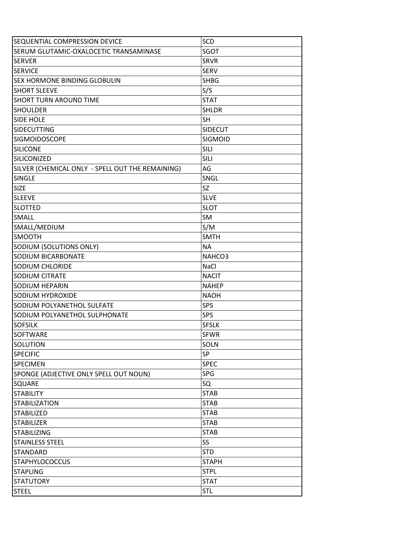| <b>SEQUENTIAL COMPRESSION DEVICE</b>             | <b>SCD</b>     |
|--------------------------------------------------|----------------|
| SERUM GLUTAMIC-OXALOCETIC TRANSAMINASE           | <b>SGOT</b>    |
| ISERVER                                          | <b>SRVR</b>    |
| <b>SERVICE</b>                                   | <b>SERV</b>    |
| SEX HORMONE BINDING GLOBULIN                     | <b>SHBG</b>    |
| <b>SHORT SLEEVE</b>                              | S/S            |
| <b>SHORT TURN AROUND TIME</b>                    | <b>STAT</b>    |
| <b>SHOULDER</b>                                  | <b>SHLDR</b>   |
| <b>SIDE HOLE</b>                                 | SH             |
| <b>SIDECUTTING</b>                               | <b>SIDECUT</b> |
| <b>SIGMOIDOSCOPE</b>                             | <b>SIGMOID</b> |
| <b>SILICONE</b>                                  | <b>SILI</b>    |
| <b>SILICONIZED</b>                               | <b>SILI</b>    |
| SILVER (CHEMICAL ONLY - SPELL OUT THE REMAINING) | AG             |
| <b>SINGLE</b>                                    | SNGL           |
| <b>SIZE</b>                                      | SZ             |
| <b>SLEEVE</b>                                    | <b>SLVE</b>    |
| <b>I</b> SLOTTED                                 | <b>SLOT</b>    |
| SMALL                                            | SM             |
| SMALL/MEDIUM                                     | S/M            |
| <b>SMOOTH</b>                                    | <b>SMTH</b>    |
| SODIUM (SOLUTIONS ONLY)                          | <b>NA</b>      |
| <b>SODIUM BICARBONATE</b>                        | NAHCO3         |
| SODIUM CHLORIDE                                  | <b>NaCl</b>    |
| <b>SODIUM CITRATE</b>                            | <b>NACIT</b>   |
| SODIUM HEPARIN                                   | <b>NAHEP</b>   |
| SODIUM HYDROXIDE                                 | <b>NAOH</b>    |
| SODIUM POLYANETHOL SULFATE                       | <b>SPS</b>     |
| SODIUM POLYANETHOL SULPHONATE                    | <b>SPS</b>     |
| <b>SOFSILK</b>                                   | <b>SFSLK</b>   |
| <b>SOFTWARE</b>                                  | <b>SFWR</b>    |
| SOLUTION                                         | <b>SOLN</b>    |
| <b>SPECIFIC</b>                                  | SP             |
| <b>SPECIMEN</b>                                  | <b>SPEC</b>    |
| SPONGE (ADJECTIVE ONLY SPELL OUT NOUN)           | <b>SPG</b>     |
| <b>SQUARE</b>                                    | SQ             |
| <b>STABILITY</b>                                 | <b>STAB</b>    |
| <b>STABILIZATION</b>                             | <b>STAB</b>    |
| <b>STABILIZED</b>                                | <b>STAB</b>    |
| <b>STABILIZER</b>                                | <b>STAB</b>    |
| <b>STABILIZING</b>                               | <b>STAB</b>    |
| <b>STAINLESS STEEL</b>                           | SS             |
| <b>STANDARD</b>                                  | <b>STD</b>     |
| <b>STAPHYLOCOCCUS</b>                            | <b>STAPH</b>   |
| <b>STAPLING</b>                                  | <b>STPL</b>    |
| <b>STATUTORY</b>                                 | <b>STAT</b>    |
| <b>STEEL</b>                                     | <b>STL</b>     |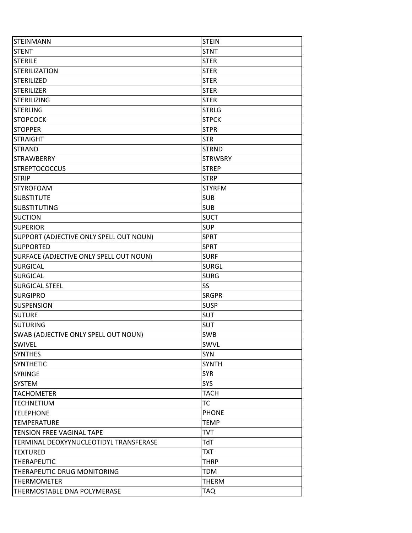| <b>STEINMANN</b>                        | <b>STEIN</b>   |
|-----------------------------------------|----------------|
| <b>STENT</b>                            | <b>STNT</b>    |
| <b>STERILE</b>                          | <b>STER</b>    |
| <b>STERILIZATION</b>                    | <b>STER</b>    |
| <b>STERILIZED</b>                       | <b>STER</b>    |
| <b>STERILIZER</b>                       | <b>STER</b>    |
| <b>STERILIZING</b>                      | <b>STER</b>    |
| <b>STERLING</b>                         | <b>STRLG</b>   |
| <b>STOPCOCK</b>                         | <b>STPCK</b>   |
| <b>STOPPER</b>                          | <b>STPR</b>    |
| <b>STRAIGHT</b>                         | <b>STR</b>     |
| <b>STRAND</b>                           | <b>STRND</b>   |
| <b>STRAWBERRY</b>                       | <b>STRWBRY</b> |
| <b>STREPTOCOCCUS</b>                    | <b>STREP</b>   |
| <b>STRIP</b>                            | <b>STRP</b>    |
| <b>STYROFOAM</b>                        | <b>STYRFM</b>  |
| <b>SUBSTITUTE</b>                       | <b>SUB</b>     |
| <b>SUBSTITUTING</b>                     | <b>SUB</b>     |
| <b>SUCTION</b>                          | <b>SUCT</b>    |
| <b>SUPERIOR</b>                         | <b>SUP</b>     |
| SUPPORT (ADJECTIVE ONLY SPELL OUT NOUN) | <b>SPRT</b>    |
| <b>SUPPORTED</b>                        | <b>SPRT</b>    |
| SURFACE (ADJECTIVE ONLY SPELL OUT NOUN) | <b>SURF</b>    |
| <b>SURGICAL</b>                         | <b>SURGL</b>   |
| <b>SURGICAL</b>                         | <b>SURG</b>    |
| <b>SURGICAL STEEL</b>                   | SS             |
| <b>SURGIPRO</b>                         | <b>SRGPR</b>   |
| <b>SUSPENSION</b>                       | <b>SUSP</b>    |
| <b>SUTURE</b>                           | <b>SUT</b>     |
| <b>SUTURING</b>                         | <b>SUT</b>     |
| SWAB (ADJECTIVE ONLY SPELL OUT NOUN)    | <b>SWB</b>     |
| SWIVEL                                  | SWVL           |
| <b>SYNTHES</b>                          | <b>SYN</b>     |
| <b>SYNTHETIC</b>                        | <b>SYNTH</b>   |
| <b>SYRINGE</b>                          | <b>SYR</b>     |
| <b>SYSTEM</b>                           | <b>SYS</b>     |
| <b>TACHOMETER</b>                       | <b>TACH</b>    |
| <b>TECHNETIUM</b>                       | <b>TC</b>      |
| <b>TELEPHONE</b>                        | <b>PHONE</b>   |
| <b>TEMPERATURE</b>                      | <b>TEMP</b>    |
| <b>TENSION FREE VAGINAL TAPE</b>        | <b>TVT</b>     |
| TERMINAL DEOXYYNUCLEOTIDYL TRANSFERASE  | TdT            |
| <b>TEXTURED</b>                         | <b>TXT</b>     |
| <b>THERAPEUTIC</b>                      | <b>THRP</b>    |
| THERAPEUTIC DRUG MONITORING             | <b>TDM</b>     |
| <b>THERMOMETER</b>                      | <b>THERM</b>   |
| THERMOSTABLE DNA POLYMERASE             | TAQ            |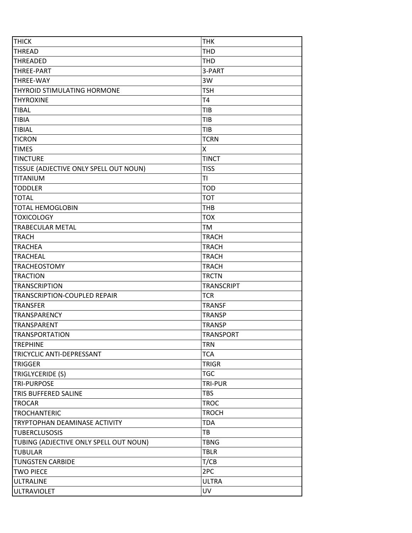| <b>THICK</b>                           | <b>THK</b>        |
|----------------------------------------|-------------------|
| <b>THREAD</b>                          | <b>THD</b>        |
| <b>THREADED</b>                        | THD               |
| <b>THREE-PART</b>                      | 3-PART            |
| <b>THREE-WAY</b>                       | 3W                |
| THYROID STIMULATING HORMONE            | <b>TSH</b>        |
| <b>THYROXINE</b>                       | T4                |
| <b>TIBAL</b>                           | TIB               |
| <b>TIBIA</b>                           | <b>TIB</b>        |
| <b>TIBIAL</b>                          | TIB               |
| <b>TICRON</b>                          | <b>TCRN</b>       |
| <b>TIMES</b>                           | Χ                 |
| <b>TINCTURE</b>                        | <b>TINCT</b>      |
| TISSUE (ADJECTIVE ONLY SPELL OUT NOUN) | <b>TISS</b>       |
| TITANIUM                               | TI                |
| <b>TODDLER</b>                         | <b>TOD</b>        |
| <b>TOTAL</b>                           | <b>TOT</b>        |
| <b>TOTAL HEMOGLOBIN</b>                | <b>THB</b>        |
| <b>TOXICOLOGY</b>                      | <b>TOX</b>        |
| <b>TRABECULAR METAL</b>                | TM                |
| <b>TRACH</b>                           | <b>TRACH</b>      |
| <b>TRACHEA</b>                         | <b>TRACH</b>      |
| <b>TRACHEAL</b>                        | <b>TRACH</b>      |
| <b>TRACHEOSTOMY</b>                    | <b>TRACH</b>      |
| <b>TRACTION</b>                        | <b>TRCTN</b>      |
| <b>TRANSCRIPTION</b>                   | <b>TRANSCRIPT</b> |
| TRANSCRIPTION-COUPLED REPAIR           | <b>TCR</b>        |
| <b>TRANSFER</b>                        | <b>TRANSF</b>     |
| <b>TRANSPARENCY</b>                    | <b>TRANSP</b>     |
| <b>TRANSPARENT</b>                     | <b>TRANSP</b>     |
| <b>TRANSPORTATION</b>                  | <b>TRANSPORT</b>  |
| <b>TREPHINE</b>                        | <b>TRN</b>        |
| TRICYCLIC ANTI-DEPRESSANT              | <b>TCA</b>        |
| <b>TRIGGER</b>                         | <b>TRIGR</b>      |
| TRIGLYCERIDE (S)                       | <b>TGC</b>        |
| <b>TRI-PURPOSE</b>                     | TRI-PUR           |
| TRIS BUFFERED SALINE                   | <b>TBS</b>        |
| <b>TROCAR</b>                          | <b>TROC</b>       |
| <b>TROCHANTERIC</b>                    | <b>TROCH</b>      |
| TRYPTOPHAN DEAMINASE ACTIVITY          | <b>TDA</b>        |
| <b>TUBERCLUSOSIS</b>                   | TB                |
| TUBING (ADJECTIVE ONLY SPELL OUT NOUN) | <b>TBNG</b>       |
| <b>TUBULAR</b>                         | <b>TBLR</b>       |
| <b>TUNGSTEN CARBIDE</b>                | T/CB              |
| <b>TWO PIECE</b>                       | 2PC               |
| <b>ULTRALINE</b>                       | <b>ULTRA</b>      |
| <b>ULTRAVIOLET</b>                     | <b>UV</b>         |